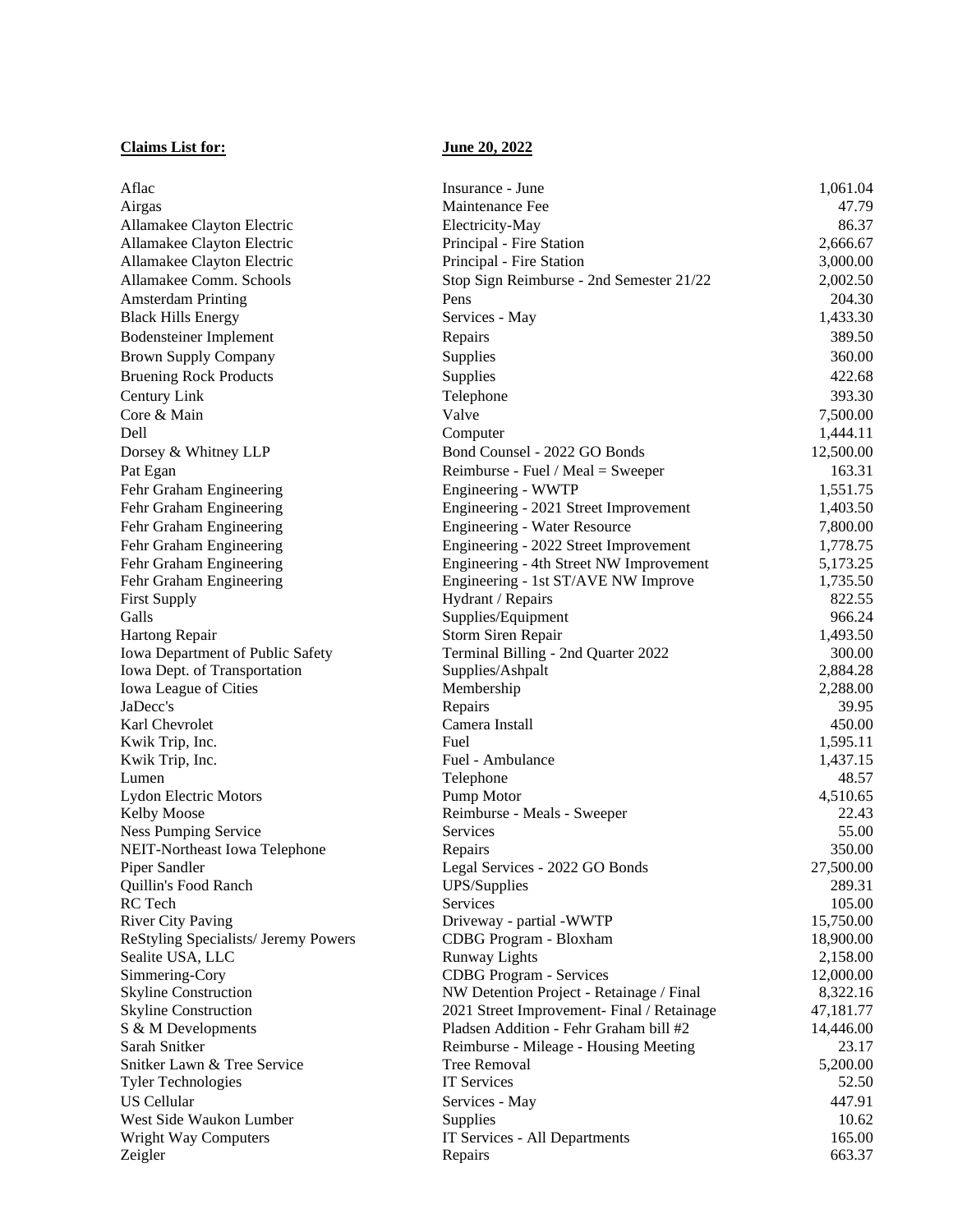## **Claims List for: June 20, 2022**

| Aflac                                | Insurance - June                                 | 1,061.04  |
|--------------------------------------|--------------------------------------------------|-----------|
| Airgas                               | Maintenance Fee                                  | 47.79     |
| Allamakee Clayton Electric           | Electricity-May                                  | 86.37     |
| Allamakee Clayton Electric           | Principal - Fire Station                         | 2,666.67  |
| Allamakee Clayton Electric           | Principal - Fire Station                         | 3,000.00  |
| Allamakee Comm. Schools              |                                                  |           |
|                                      | Stop Sign Reimburse - 2nd Semester 21/22<br>Pens | 2,002.50  |
| <b>Amsterdam Printing</b>            |                                                  | 204.30    |
| <b>Black Hills Energy</b>            | Services - May                                   | 1,433.30  |
| <b>Bodensteiner Implement</b>        | Repairs                                          | 389.50    |
| <b>Brown Supply Company</b>          | Supplies                                         | 360.00    |
| <b>Bruening Rock Products</b>        | Supplies                                         | 422.68    |
| Century Link                         | Telephone                                        | 393.30    |
| Core & Main                          | Valve                                            | 7,500.00  |
| Dell                                 | Computer                                         | 1,444.11  |
| Dorsey & Whitney LLP                 | Bond Counsel - 2022 GO Bonds                     | 12,500.00 |
| Pat Egan                             | Reimburse - Fuel / Meal = Sweeper                | 163.31    |
| Fehr Graham Engineering              | Engineering - WWTP                               | 1,551.75  |
| Fehr Graham Engineering              | Engineering - 2021 Street Improvement            | 1,403.50  |
| Fehr Graham Engineering              | <b>Engineering - Water Resource</b>              | 7,800.00  |
| Fehr Graham Engineering              | Engineering - 2022 Street Improvement            | 1,778.75  |
| Fehr Graham Engineering              | Engineering - 4th Street NW Improvement          | 5,173.25  |
| Fehr Graham Engineering              | Engineering - 1st ST/AVE NW Improve              | 1,735.50  |
| <b>First Supply</b>                  | Hydrant / Repairs                                | 822.55    |
| Galls                                | Supplies/Equipment                               | 966.24    |
| Hartong Repair                       | Storm Siren Repair                               | 1,493.50  |
| Iowa Department of Public Safety     | Terminal Billing - 2nd Quarter 2022              | 300.00    |
| Iowa Dept. of Transportation         | Supplies/Ashpalt                                 | 2,884.28  |
| Iowa League of Cities                | Membership                                       | 2,288.00  |
| JaDecc's                             | Repairs                                          | 39.95     |
| Karl Chevrolet                       | Camera Install                                   | 450.00    |
| Kwik Trip, Inc.                      | Fuel                                             | 1,595.11  |
| Kwik Trip, Inc.                      | Fuel - Ambulance                                 | 1,437.15  |
| Lumen                                | Telephone                                        | 48.57     |
| Lydon Electric Motors                | Pump Motor                                       | 4,510.65  |
| Kelby Moose                          | Reimburse - Meals - Sweeper                      | 22.43     |
| <b>Ness Pumping Service</b>          | Services                                         | 55.00     |
| NEIT-Northeast Iowa Telephone        | Repairs                                          | 350.00    |
| Piper Sandler                        | Legal Services - 2022 GO Bonds                   | 27,500.00 |
| Quillin's Food Ranch                 | <b>UPS/Supplies</b>                              | 289.31    |
| RC Tech                              | Services                                         | 105.00    |
| <b>River City Paving</b>             | Driveway - partial -WWTP                         | 15,750.00 |
| ReStyling Specialists/ Jeremy Powers | CDBG Program - Bloxham                           | 18,900.00 |
| Sealite USA, LLC                     | <b>Runway Lights</b>                             | 2,158.00  |
| Simmering-Cory                       | <b>CDBG</b> Program - Services                   | 12,000.00 |
| <b>Skyline Construction</b>          | NW Detention Project - Retainage / Final         | 8,322.16  |
| <b>Skyline Construction</b>          | 2021 Street Improvement- Final / Retainage       | 47,181.77 |
| S & M Developments                   | Pladsen Addition - Fehr Graham bill #2           | 14,446.00 |
| Sarah Snitker                        | Reimburse - Mileage - Housing Meeting            | 23.17     |
| Snitker Lawn & Tree Service          | Tree Removal                                     | 5,200.00  |
| <b>Tyler Technologies</b>            | <b>IT Services</b>                               | 52.50     |
| <b>US</b> Cellular                   | Services - May                                   | 447.91    |
| West Side Waukon Lumber              | Supplies                                         | 10.62     |
| Wright Way Computers                 | IT Services - All Departments                    | 165.00    |
| Zeigler                              | Repairs                                          | 663.37    |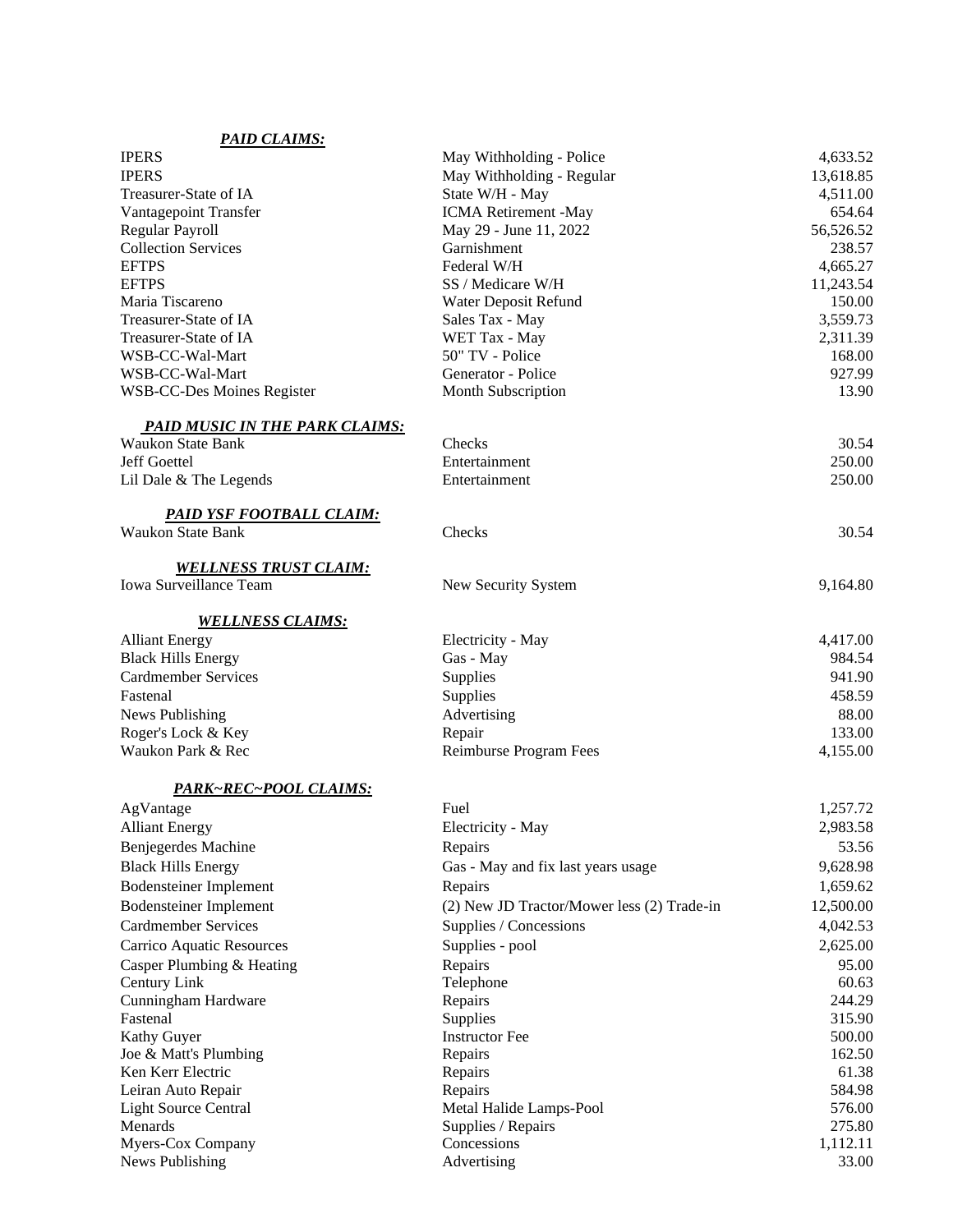| <b>PAID CLAIMS:</b>                   |                                            |           |
|---------------------------------------|--------------------------------------------|-----------|
| <b>IPERS</b>                          | May Withholding - Police                   | 4,633.52  |
| <b>IPERS</b>                          | May Withholding - Regular                  | 13,618.85 |
| Treasurer-State of IA                 | State W/H - May                            | 4,511.00  |
| Vantagepoint Transfer                 | ICMA Retirement -May                       | 654.64    |
| Regular Payroll                       | May 29 - June 11, 2022                     | 56,526.52 |
| <b>Collection Services</b>            | Garnishment                                | 238.57    |
| <b>EFTPS</b>                          | Federal W/H                                | 4,665.27  |
| <b>EFTPS</b>                          | SS / Medicare W/H                          | 11,243.54 |
| Maria Tiscareno                       | Water Deposit Refund                       | 150.00    |
| Treasurer-State of IA                 | Sales Tax - May                            | 3,559.73  |
| Treasurer-State of IA                 | WET Tax - May                              | 2,311.39  |
| WSB-CC-Wal-Mart                       | 50" TV - Police                            | 168.00    |
| WSB-CC-Wal-Mart                       | Generator - Police                         | 927.99    |
| WSB-CC-Des Moines Register            | Month Subscription                         | 13.90     |
| <b>PAID MUSIC IN THE PARK CLAIMS:</b> |                                            |           |
| <b>Waukon State Bank</b>              | Checks                                     | 30.54     |
| Jeff Goettel                          | Entertainment                              | 250.00    |
| Lil Dale & The Legends                | Entertainment                              | 250.00    |
| <u>PAID YSF FOOTBALL CLAIM:</u>       |                                            |           |
| <b>Waukon State Bank</b>              | Checks                                     | 30.54     |
| <b>WELLNESS TRUST CLAIM:</b>          |                                            |           |
| Iowa Surveillance Team                | New Security System                        | 9,164.80  |
| <b>WELLNESS CLAIMS:</b>               |                                            |           |
| <b>Alliant Energy</b>                 | Electricity - May                          | 4,417.00  |
| <b>Black Hills Energy</b>             | Gas - May                                  | 984.54    |
| <b>Cardmember Services</b>            |                                            | 941.90    |
| Fastenal                              | Supplies                                   | 458.59    |
|                                       | Supplies                                   |           |
| News Publishing                       | Advertising                                | 88.00     |
| Roger's Lock & Key                    | Repair                                     | 133.00    |
| Waukon Park & Rec                     | Reimburse Program Fees                     | 4,155.00  |
| PARK~REC~POOL CLAIMS:                 |                                            |           |
| AgVantage                             | Fuel                                       | 1,257.72  |
| <b>Alliant Energy</b>                 | Electricity - May                          | 2,983.58  |
| Benjegerdes Machine                   | Repairs                                    | 53.56     |
| <b>Black Hills Energy</b>             | Gas - May and fix last years usage         | 9,628.98  |
| <b>Bodensteiner Implement</b>         | Repairs                                    | 1,659.62  |
| <b>Bodensteiner Implement</b>         | (2) New JD Tractor/Mower less (2) Trade-in | 12,500.00 |
| <b>Cardmember Services</b>            | Supplies / Concessions                     | 4,042.53  |
| Carrico Aquatic Resources             | Supplies - pool                            | 2,625.00  |
| Casper Plumbing & Heating             | Repairs                                    | 95.00     |
| Century Link                          | Telephone                                  | 60.63     |
| Cunningham Hardware                   | Repairs                                    | 244.29    |
| Fastenal                              | Supplies                                   | 315.90    |
| Kathy Guyer                           | <b>Instructor Fee</b>                      | 500.00    |
| Joe & Matt's Plumbing                 | Repairs                                    | 162.50    |
| Ken Kerr Electric                     | Repairs                                    | 61.38     |
| Leiran Auto Repair                    | Repairs                                    | 584.98    |
| <b>Light Source Central</b>           | Metal Halide Lamps-Pool                    | 576.00    |
| Menards                               | Supplies / Repairs                         | 275.80    |
| Myers-Cox Company                     | Concessions                                | 1,112.11  |
| News Publishing                       | Advertising                                | 33.00     |